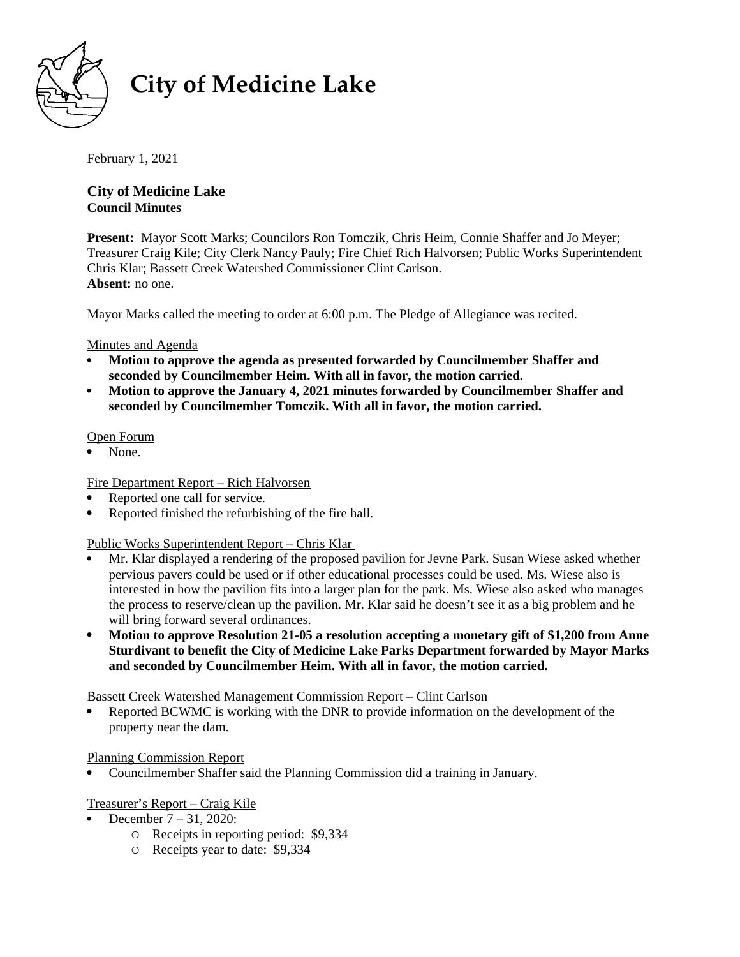

# **City of Medicine Lake**

February 1, 2021

# **City of Medicine Lake Council Minutes**

**Present:** Mayor Scott Marks; Councilors Ron Tomczik, Chris Heim, Connie Shaffer and Jo Meyer; Treasurer Craig Kile; City Clerk Nancy Pauly; Fire Chief Rich Halvorsen; Public Works Superintendent 11 Cabaret Grang 1 and, Gray Green Francy 1 aarty, The Grate Fact, Takit Joseph, 1 as no words dependencement.<br>Chris Klar; Bassett Creek Watershed Commissioner Clint Carlson. **Absent:** no one.

Mayor Marks called the meeting to order at 6:00 p.m. The Pledge of Allegiance was recited.

# Minutes and Agenda

- **Motion to approve the agenda as presented forwarded by Councilmember Shaffer and seconded by Councilmember Heim. With all in favor, the motion carried.**
- **Motion to approve the January 4, 2021 minutes forwarded by Councilmember Shaffer and seconded by Councilmember Tomczik. With all in favor, the motion carried.**

## Open Forum

• None.

# Fire Department Report – Rich Halvorsen

- Reported one call for service.
- Reported finished the refurbishing of the fire hall.

# Public Works Superintendent Report – Chris Klar

- Mr. Klar displayed a rendering of the proposed pavilion for Jevne Park. Susan Wiese asked whether pervious pavers could be used or if other educational processes could be used. Ms. Wiese also is interested in how the pavilion fits into a larger plan for the park. Ms. Wiese also asked who manages the process to reserve/clean up the pavilion. Mr. Klar said he doesn't see it as a big problem and he will bring forward several ordinances.
- **Motion to approve Resolution 21-05 a resolution accepting a monetary gift of \$1,200 from Anne Sturdivant to benefit the City of Medicine Lake Parks Department forwarded by Mayor Marks and seconded by Councilmember Heim. With all in favor, the motion carried.**

Bassett Creek Watershed Management Commission Report – Clint Carlson

 Reported BCWMC is working with the DNR to provide information on the development of the property near the dam.

#### Planning Commission Report

Councilmember Shaffer said the Planning Commission did a training in January.

# Treasurer's Report – Craig Kile

- December 7 31, 2020:
	- Receipts in reporting period: \$9,334
	- Receipts year to date: \$9,334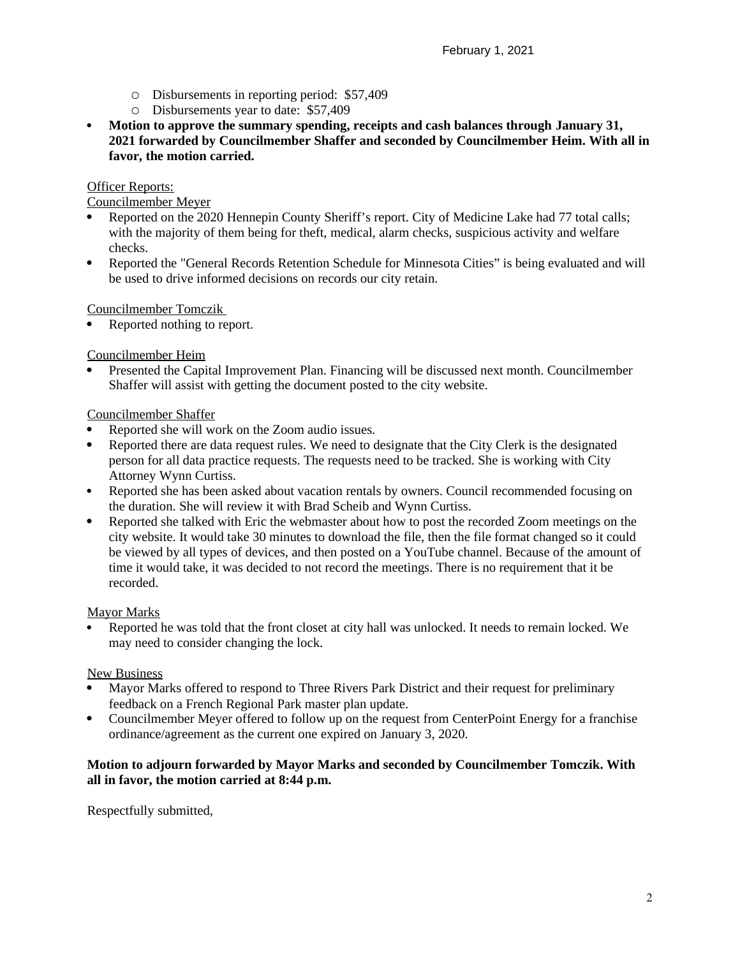- Disbursements in reporting period: \$57,409
- Disbursements year to date: \$57,409
- **Motion to approve the summary spending, receipts and cash balances through January 31, 2021 forwarded by Councilmember Shaffer and seconded by Councilmember Heim. With all in favor, the motion carried.**

## Officer Reports:

Councilmember Meyer

- Reported on the 2020 Hennepin County Sheriff's report. City of Medicine Lake had 77 total calls; with the majority of them being for theft, medical, alarm checks, suspicious activity and welfare checks.
- Reported the "General Records Retention Schedule for Minnesota Cities" is being evaluated and will be used to drive informed decisions on records our city retain.

## Councilmember Tomczik

Reported nothing to report.

## Councilmember Heim

 Presented the Capital Improvement Plan. Financing will be discussed next month. Councilmember Shaffer will assist with getting the document posted to the city website.

## Councilmember Shaffer

- Reported she will work on the Zoom audio issues.
- Reported there are data request rules. We need to designate that the City Clerk is the designated person for all data practice requests. The requests need to be tracked. She is working with City Attorney Wynn Curtiss.
- Reported she has been asked about vacation rentals by owners. Council recommended focusing on the duration. She will review it with Brad Scheib and Wynn Curtiss.
- Reported she talked with Eric the webmaster about how to post the recorded Zoom meetings on the city website. It would take 30 minutes to download the file, then the file format changed so it could be viewed by all types of devices, and then posted on a YouTube channel. Because of the amount of time it would take, it was decided to not record the meetings. There is no requirement that it be recorded.

#### Mayor Marks

 Reported he was told that the front closet at city hall was unlocked. It needs to remain locked. We may need to consider changing the lock.

#### New Business

- Mayor Marks offered to respond to Three Rivers Park District and their request for preliminary feedback on a French Regional Park master plan update.
- Councilmember Meyer offered to follow up on the request from CenterPoint Energy for a franchise ordinance/agreement as the current one expired on January 3, 2020.

## **Motion to adjourn forwarded by Mayor Marks and seconded by Councilmember Tomczik. With all in favor, the motion carried at 8:44 p.m.**

Respectfully submitted,